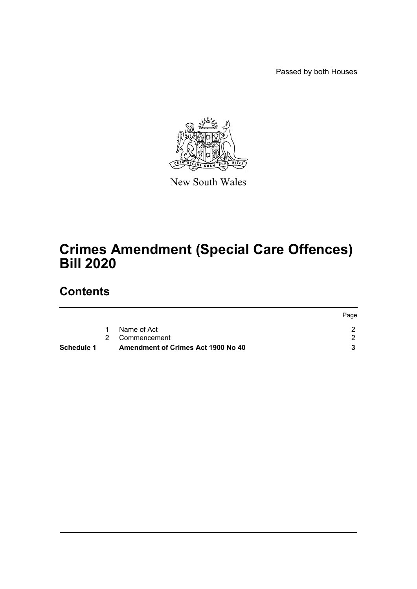Passed by both Houses



New South Wales

# **Crimes Amendment (Special Care Offences) Bill 2020**

## **Contents**

| Schedule 1 | <b>Amendment of Crimes Act 1900 No 40</b> |      |
|------------|-------------------------------------------|------|
|            | 2 Commencement                            |      |
|            | Name of Act                               |      |
|            |                                           | Page |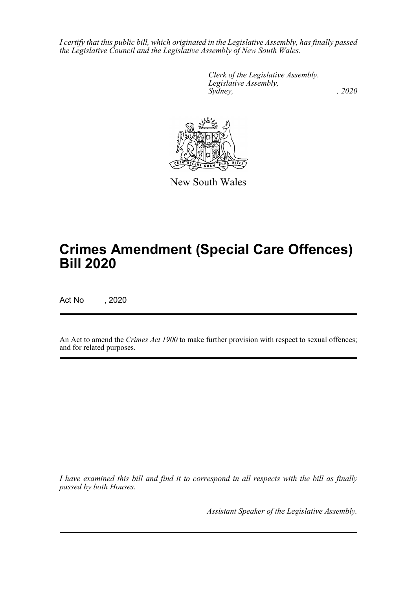*I certify that this public bill, which originated in the Legislative Assembly, has finally passed the Legislative Council and the Legislative Assembly of New South Wales.*

> *Clerk of the Legislative Assembly. Legislative Assembly, Sydney, , 2020*



New South Wales

# **Crimes Amendment (Special Care Offences) Bill 2020**

Act No , 2020

An Act to amend the *Crimes Act 1900* to make further provision with respect to sexual offences; and for related purposes.

*I have examined this bill and find it to correspond in all respects with the bill as finally passed by both Houses.*

*Assistant Speaker of the Legislative Assembly.*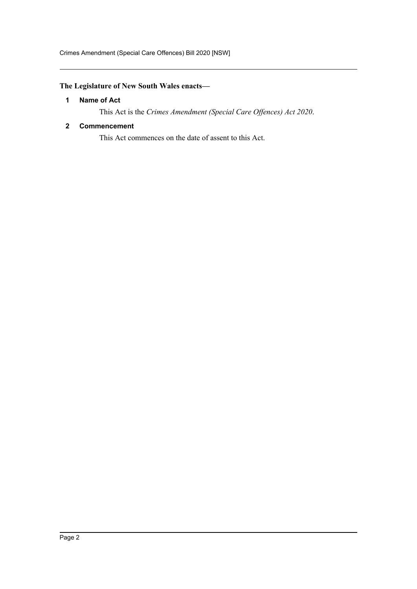Crimes Amendment (Special Care Offences) Bill 2020 [NSW]

### <span id="page-2-0"></span>**The Legislature of New South Wales enacts—**

#### **1 Name of Act**

This Act is the *Crimes Amendment (Special Care Offences) Act 2020*.

#### <span id="page-2-1"></span>**2 Commencement**

This Act commences on the date of assent to this Act.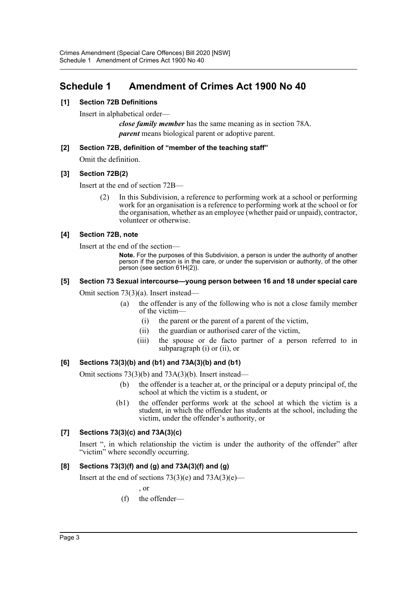### <span id="page-3-0"></span>**Schedule 1 Amendment of Crimes Act 1900 No 40**

#### **[1] Section 72B Definitions**

Insert in alphabetical order—

*close family member* has the same meaning as in section 78A. *parent* means biological parent or adoptive parent.

#### **[2] Section 72B, definition of "member of the teaching staff"**

Omit the definition.

#### **[3] Section 72B(2)**

Insert at the end of section 72B—

(2) In this Subdivision, a reference to performing work at a school or performing work for an organisation is a reference to performing work at the school or for the organisation, whether as an employee (whether paid or unpaid), contractor, volunteer or otherwise.

#### **[4] Section 72B, note**

Insert at the end of the section—

**Note.** For the purposes of this Subdivision, a person is under the authority of another person if the person is in the care, or under the supervision or authority, of the other person (see section 61H(2)).

### **[5] Section 73 Sexual intercourse—young person between 16 and 18 under special care**

Omit section 73(3)(a). Insert instead—

- (a) the offender is any of the following who is not a close family member of the victim—
	- (i) the parent or the parent of a parent of the victim,
	- (ii) the guardian or authorised carer of the victim,
	- (iii) the spouse or de facto partner of a person referred to in subparagraph (i) or (ii), or

#### **[6] Sections 73(3)(b) and (b1) and 73A(3)(b) and (b1)**

Omit sections 73(3)(b) and 73A(3)(b). Insert instead—

- (b) the offender is a teacher at, or the principal or a deputy principal of, the school at which the victim is a student, or
- (b1) the offender performs work at the school at which the victim is a student, in which the offender has students at the school, including the victim, under the offender's authority, or

#### **[7] Sections 73(3)(c) and 73A(3)(c)**

Insert ", in which relationship the victim is under the authority of the offender" after "victim" where secondly occurring.

#### **[8] Sections 73(3)(f) and (g) and 73A(3)(f) and (g)**

Insert at the end of sections  $73(3)(e)$  and  $73A(3)(e)$ —

, or

(f) the offender—